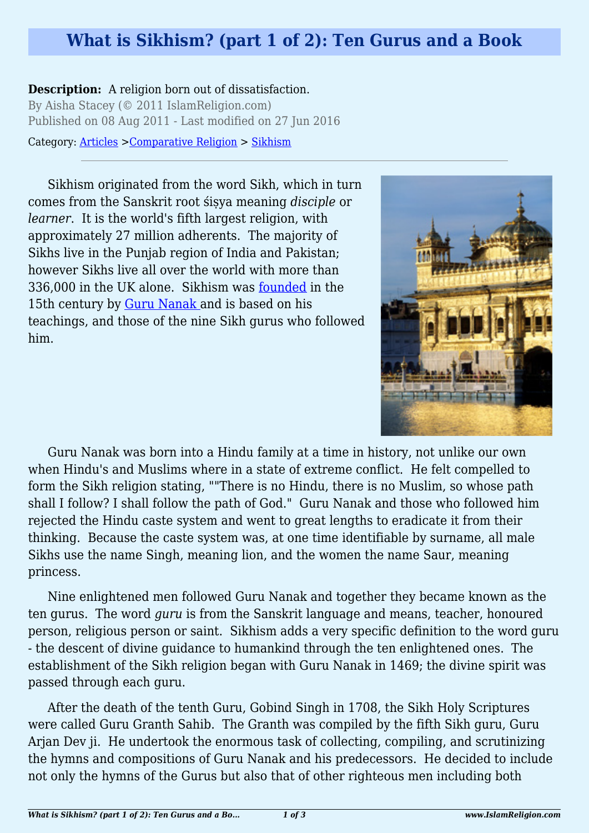## **What is Sikhism? (part 1 of 2): Ten Gurus and a Book**

## **Description:** A religion born out of dissatisfaction.

By Aisha Stacey (© 2011 IslamReligion.com) Published on 08 Aug 2011 - Last modified on 27 Jun 2016

Category: [Articles](http://www.islamreligion.com/articles/) >[Comparative Religion](http://www.islamreligion.com/category/68/) > [Sikhism](http://www.islamreligion.com/category/1111/)

Sikhism originated from the word Sikh, which in turn comes from the Sanskrit root śiṣya meaning *disciple* or *learner*. It is the world's fifth largest religion, with approximately 27 million adherents. The majority of Sikhs live in the Punjab region of India and Pakistan; however Sikhs live all over the world with more than 336,000 in the UK alone. Sikhism was [founded](http://www.bbc.co.uk/religion/religions/sikhism/history/history_1.shtml) in the 15th century by [Guru Nanak](http://www.bbc.co.uk/religion/religions/sikhism/people/nanak.shtml) and is based on his teachings, and those of the nine Sikh gurus who followed him.



Guru Nanak was born into a Hindu family at a time in history, not unlike our own when Hindu's and Muslims where in a state of extreme conflict. He felt compelled to form the Sikh religion stating, ""There is no Hindu, there is no Muslim, so whose path shall I follow? I shall follow the path of God." Guru Nanak and those who followed him rejected the Hindu caste system and went to great lengths to eradicate it from their thinking. Because the caste system was, at one time identifiable by surname, all male Sikhs use the name Singh, meaning lion, and the women the name Saur, meaning princess.

Nine enlightened men followed Guru Nanak and together they became known as the ten gurus. The word *guru* is from the Sanskrit language and means, teacher, honoured person, religious person or saint. Sikhism adds a very specific definition to the word guru - the descent of divine guidance to humankind through the ten enlightened ones. The establishment of the Sikh religion began with Guru Nanak in 1469; the divine spirit was passed through each guru.

After the death of the tenth Guru, Gobind Singh in 1708, the Sikh Holy Scriptures were called Guru Granth Sahib. The Granth was compiled by the fifth Sikh guru, Guru Arjan Dev ji. He undertook the enormous task of collecting, compiling, and scrutinizing the hymns and compositions of Guru Nanak and his predecessors. He decided to include not only the hymns of the Gurus but also that of other righteous men including both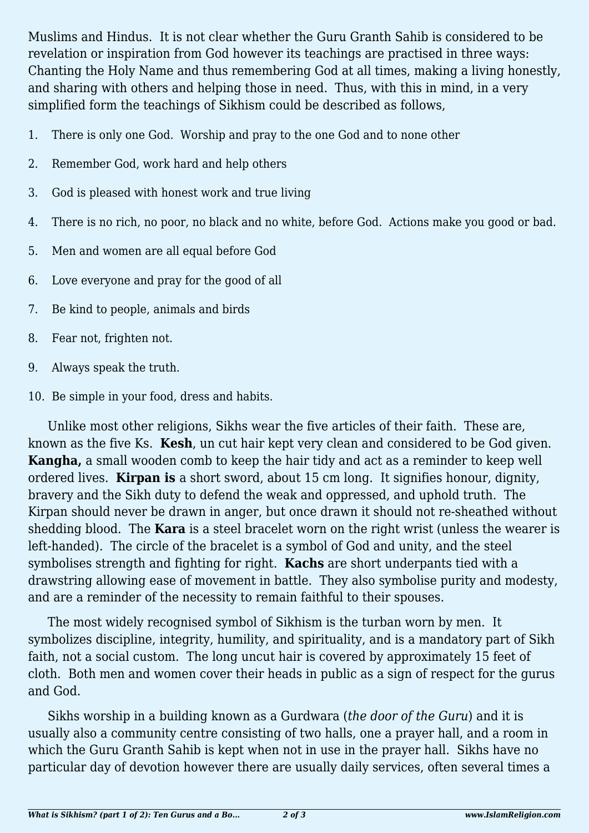Muslims and Hindus. It is not clear whether the Guru Granth Sahib is considered to be revelation or inspiration from God however its teachings are practised in three ways: Chanting the Holy Name and thus remembering God at all times, making a living honestly, and sharing with others and helping those in need. Thus, with this in mind, in a very simplified form the teachings of Sikhism could be described as follows,

- 1. There is only one God. Worship and pray to the one God and to none other
- 2. Remember God, work hard and help others
- 3. God is pleased with honest work and true living
- 4. There is no rich, no poor, no black and no white, before God. Actions make you good or bad.
- 5. Men and women are all equal before God
- 6. Love everyone and pray for the good of all
- 7. Be kind to people, animals and birds
- 8. Fear not, frighten not.
- 9. Always speak the truth.
- 10. Be simple in your food, dress and habits.

Unlike most other religions, Sikhs wear the five articles of their faith. These are, known as the five Ks. **Kesh**, un cut hair kept very clean and considered to be God given. **Kangha,** a small wooden comb to keep the hair tidy and act as a reminder to keep well ordered lives. **Kirpan is** a short sword, about 15 cm long. It signifies honour, dignity, bravery and the Sikh duty to defend the weak and oppressed, and uphold truth. The Kirpan should never be drawn in anger, but once drawn it should not re-sheathed without shedding blood. The **Kara** is a steel bracelet worn on the right wrist (unless the wearer is left-handed). The circle of the bracelet is a symbol of God and unity, and the steel symbolises strength and fighting for right. **Kachs** are short underpants tied with a drawstring allowing ease of movement in battle. They also symbolise purity and modesty, and are a reminder of the necessity to remain faithful to their spouses.

The most widely recognised symbol of Sikhism is the turban worn by men. It symbolizes discipline, integrity, humility, and spirituality, and is a mandatory part of Sikh faith, not a social custom. The long uncut hair is covered by approximately 15 feet of cloth. Both men and women cover their heads in public as a sign of respect for the gurus and God.

Sikhs worship in a building known as a Gurdwara (*the door of the Guru*) and it is usually also a community centre consisting of two halls, one a prayer hall, and a room in which the Guru Granth Sahib is kept when not in use in the prayer hall. Sikhs have no particular day of devotion however there are usually daily services, often several times a